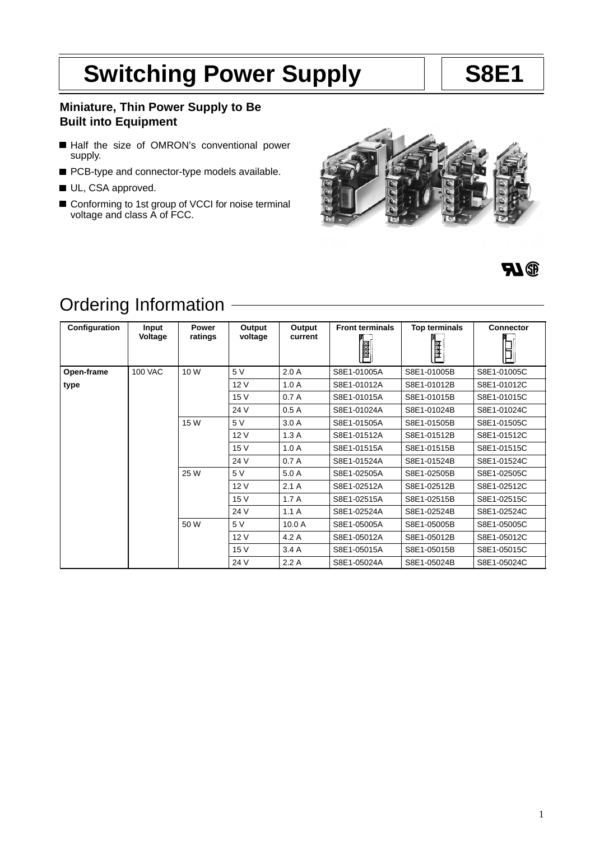# Switching Power Supply | | S8E1

# **Miniature, Thin Power Supply to Be Built into Equipment**

- Half the size of OMRON's conventional power supply.
- PCB-type and connector-type models available.
- UL, CSA approved.
- Conforming to 1st group of VCCI for noise terminal voltage and class A of FCC.





# Ordering Information

| Configuration | Input<br>Voltage | <b>Power</b><br>ratings | Output<br>voltage | Output<br>current | <b>Front terminals</b><br><b>BBB</b> | Top terminals<br>ր<br> ⊞ | <b>Connector</b> |
|---------------|------------------|-------------------------|-------------------|-------------------|--------------------------------------|--------------------------|------------------|
| Open-frame    | <b>100 VAC</b>   | 10 W                    | 5 V               | 2.0A              | S8E1-01005A                          | S8E1-01005B              | S8E1-01005C      |
| type          |                  |                         | 12 V              | 1.0A              | S8E1-01012A                          | S8E1-01012B              | S8E1-01012C      |
|               |                  |                         | 15 V              | 0.7A              | S8E1-01015A                          | S8E1-01015B              | S8E1-01015C      |
|               |                  |                         | 24 V              | 0.5A              | S8E1-01024A                          | S8E1-01024B              | S8E1-01024C      |
|               |                  | 15 W                    | 5 V               | 3.0A              | S8E1-01505A                          | S8E1-01505B              | S8E1-01505C      |
|               |                  |                         | 12 V              | 1.3A              | S8E1-01512A                          | S8E1-01512B              | S8E1-01512C      |
|               |                  |                         | 15 V              | 1.0A              | S8E1-01515A                          | S8E1-01515B              | S8E1-01515C      |
|               |                  |                         | 24 V              | 0.7A              | S8E1-01524A                          | S8E1-01524B              | S8E1-01524C      |
|               |                  | 25 W                    | 5V                | 5.0 A             | S8E1-02505A                          | S8E1-02505B              | S8E1-02505C      |
|               |                  |                         | 12 V              | 2.1A              | S8E1-02512A                          | S8E1-02512B              | S8E1-02512C      |
|               |                  |                         | 15 V              | 1.7A              | S8E1-02515A                          | S8E1-02515B              | S8E1-02515C      |
|               |                  |                         | 24 V              | 1.1A              | S8E1-02524A                          | S8E1-02524B              | S8E1-02524C      |
|               |                  | 50 W                    | 5 V               | 10.0A             | S8E1-05005A                          | S8E1-05005B              | S8E1-05005C      |
|               |                  |                         | 12 V              | 4.2 A             | S8E1-05012A                          | S8E1-05012B              | S8E1-05012C      |
|               |                  |                         | 15 V              | 3.4A              | S8E1-05015A                          | S8E1-05015B              | S8E1-05015C      |
|               |                  |                         | 24 V              | 2.2A              | S8E1-05024A                          | S8E1-05024B              | S8E1-05024C      |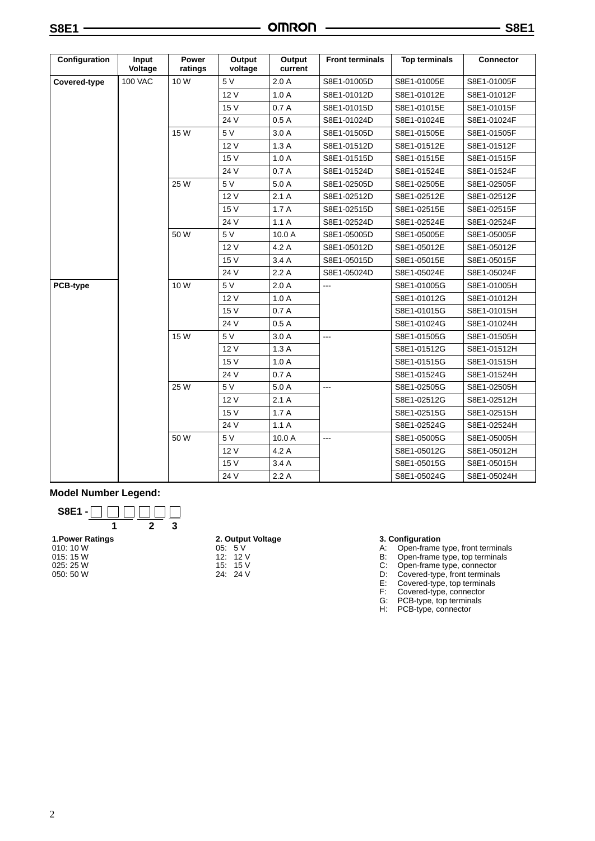|  | ×<br>٧<br>۰,<br>× |  |
|--|-------------------|--|
|--|-------------------|--|

| Configuration | Input<br>Voltage | Power<br>ratings | Output<br>voltage | Output<br>current | <b>Front terminals</b> | <b>Top terminals</b> | <b>Connector</b> |
|---------------|------------------|------------------|-------------------|-------------------|------------------------|----------------------|------------------|
| Covered-type  | <b>100 VAC</b>   | 10 W             | 5V                | 2.0A              | S8E1-01005D            | S8E1-01005E          | S8E1-01005F      |
|               |                  |                  | 12 V              | 1.0A              | S8E1-01012D            | S8E1-01012E          | S8E1-01012F      |
|               |                  |                  | 15 V              | 0.7A              | S8E1-01015D            | S8E1-01015E          | S8E1-01015F      |
|               |                  |                  | 24 V              | 0.5A              | S8E1-01024D            | S8E1-01024E          | S8E1-01024F      |
|               |                  | 15 W             | 5 V               | 3.0 A             | S8E1-01505D            | S8E1-01505E          | S8E1-01505F      |
|               |                  |                  | 12V               | 1.3A              | S8E1-01512D            | S8E1-01512E          | S8E1-01512F      |
|               |                  |                  | 15 V              | 1.0A              | S8E1-01515D            | S8E1-01515E          | S8E1-01515F      |
|               |                  |                  | 24 V              | 0.7A              | S8E1-01524D            | S8E1-01524E          | S8E1-01524F      |
|               |                  | 25 W             | 5V                | 5.0A              | S8E1-02505D            | S8E1-02505E          | S8E1-02505F      |
|               |                  |                  | 12 V              | 2.1A              | S8E1-02512D            | S8E1-02512E          | S8E1-02512F      |
|               |                  |                  | 15 V              | 1.7A              | S8E1-02515D            | S8E1-02515E          | S8E1-02515F      |
|               |                  |                  | 24 V              | 1.1A              | S8E1-02524D            | S8E1-02524E          | S8E1-02524F      |
|               |                  | 50 W             | 5V                | 10.0A             | S8E1-05005D            | S8E1-05005E          | S8E1-05005F      |
|               |                  |                  | 12V               | 4.2A              | S8E1-05012D            | S8E1-05012E          | S8E1-05012F      |
|               |                  |                  | 15 V              | 3.4A              | S8E1-05015D            | S8E1-05015E          | S8E1-05015F      |
|               |                  |                  | 24 V              | 2.2A              | S8E1-05024D            | S8E1-05024E          | S8E1-05024F      |
| PCB-type      |                  | 10 W             | 5V                | 2.0A              | $\overline{a}$         | S8E1-01005G          | S8E1-01005H      |
|               |                  |                  | 12V               | 1.0A              |                        | S8E1-01012G          | S8E1-01012H      |
|               |                  |                  | 15 V              | 0.7A              |                        | S8E1-01015G          | S8E1-01015H      |
|               |                  |                  | 24 V              | 0.5A              |                        | S8E1-01024G          | S8E1-01024H      |
|               |                  | 15 W             | 5 V               | 3.0A              | ---                    | S8E1-01505G          | S8E1-01505H      |
|               |                  |                  | 12 V              | 1.3A              |                        | S8E1-01512G          | S8E1-01512H      |
|               |                  |                  | 15 V              | 1.0A              |                        | S8E1-01515G          | S8E1-01515H      |
|               |                  |                  | 24 V              | 0.7A              |                        | S8E1-01524G          | S8E1-01524H      |
|               |                  | 25 W             | 5 V               | 5.0 A             | $\overline{a}$         | S8E1-02505G          | S8E1-02505H      |
|               |                  |                  | 12V               | 2.1A              |                        | S8E1-02512G          | S8E1-02512H      |
|               |                  |                  | 15 V              | 1.7A              |                        | S8E1-02515G          | S8E1-02515H      |
|               |                  |                  | 24 V              | 1.1A              |                        | S8E1-02524G          | S8E1-02524H      |
|               |                  | 50 W             | 5V                | 10.0 A            | $---$                  | S8E1-05005G          | S8E1-05005H      |
|               |                  |                  | 12 V              | 4.2A              |                        | S8E1-05012G          | S8E1-05012H      |
|               |                  |                  | 15 V              | 3.4A              |                        | S8E1-05015G          | S8E1-05015H      |
|               |                  |                  | 24 V              | 2.2A              |                        | S8E1-05024G          | S8E1-05024H      |

## **Model Number Legend:**



# **2. Output Voltage**

05: 5 V 12: 12 V 15: 15 V 24: 24 V

- **3. Configuration**
	- A: Open-frame type, front terminals
	- B: Open-frame type, top terminals
	- C: Open-frame type, connector
- D: Covered-type, front terminals
- E: Covered-type, top terminals
- F: Covered-type, connector
- G: PCB-type, top terminals H: PCB-type, connector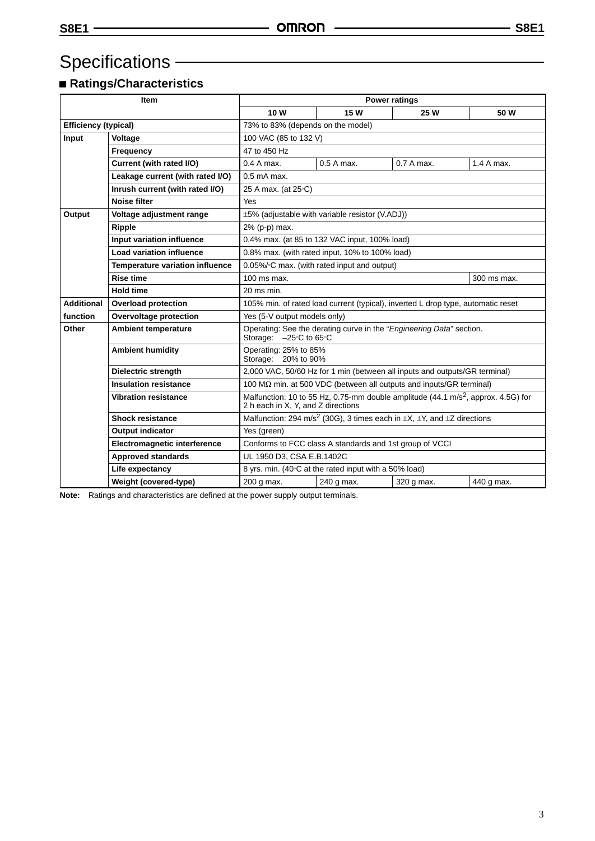# Specifications **CONSERVICES**

# **Ratings/Characteristics**

|                                                 | <b>Item</b>                            | <b>Power ratings</b>                                                                                                                |                                                 |            |            |  |  |  |
|-------------------------------------------------|----------------------------------------|-------------------------------------------------------------------------------------------------------------------------------------|-------------------------------------------------|------------|------------|--|--|--|
|                                                 |                                        | 10 W                                                                                                                                | 15 W                                            | 25 W       | 50 W       |  |  |  |
| <b>Efficiency (typical)</b>                     |                                        | 73% to 83% (depends on the model)                                                                                                   |                                                 |            |            |  |  |  |
| Input<br>Voltage                                |                                        | 100 VAC (85 to 132 V)                                                                                                               |                                                 |            |            |  |  |  |
|                                                 | Frequency                              | 47 to 450 Hz                                                                                                                        |                                                 |            |            |  |  |  |
|                                                 | Current (with rated I/O)               | $0.4A$ max.                                                                                                                         | $0.5A$ max.                                     | 0.7 A max. | 1.4 A max. |  |  |  |
|                                                 | Leakage current (with rated I/O)       | $0.5$ mA max.                                                                                                                       |                                                 |            |            |  |  |  |
|                                                 | Inrush current (with rated I/O)        | 25 A max. (at 25 °C)                                                                                                                |                                                 |            |            |  |  |  |
|                                                 | <b>Noise filter</b>                    | Yes                                                                                                                                 |                                                 |            |            |  |  |  |
| Output                                          | Voltage adjustment range               |                                                                                                                                     | ±5% (adjustable with variable resistor (V.ADJ)) |            |            |  |  |  |
|                                                 | Ripple                                 | 2% (p-p) max.                                                                                                                       |                                                 |            |            |  |  |  |
|                                                 | Input variation influence              |                                                                                                                                     | 0.4% max. (at 85 to 132 VAC input, 100% load)   |            |            |  |  |  |
|                                                 | <b>Load variation influence</b>        |                                                                                                                                     | 0.8% max. (with rated input, 10% to 100% load)  |            |            |  |  |  |
|                                                 | <b>Temperature variation influence</b> |                                                                                                                                     | 0.05%/°C max. (with rated input and output)     |            |            |  |  |  |
| <b>Rise time</b>                                |                                        | $100$ ms max.<br>300 ms max.                                                                                                        |                                                 |            |            |  |  |  |
| <b>Hold time</b>                                |                                        | $20$ ms min.                                                                                                                        |                                                 |            |            |  |  |  |
| <b>Additional</b><br><b>Overload protection</b> |                                        | 105% min. of rated load current (typical), inverted L drop type, automatic reset                                                    |                                                 |            |            |  |  |  |
| function<br>Overvoltage protection              |                                        | Yes (5-V output models only)                                                                                                        |                                                 |            |            |  |  |  |
| Other<br><b>Ambient temperature</b>             |                                        | Operating: See the derating curve in the "Engineering Data" section.<br>Storage: -25°C to 65°C                                      |                                                 |            |            |  |  |  |
| <b>Ambient humidity</b>                         |                                        | Operating: 25% to 85%<br>Storage: 20% to 90%                                                                                        |                                                 |            |            |  |  |  |
| <b>Dielectric strength</b>                      |                                        | 2,000 VAC, 50/60 Hz for 1 min (between all inputs and outputs/GR terminal)                                                          |                                                 |            |            |  |  |  |
| <b>Insulation resistance</b>                    |                                        | 100 $\text{M}\Omega$ min. at 500 VDC (between all outputs and inputs/GR terminal)                                                   |                                                 |            |            |  |  |  |
| <b>Vibration resistance</b>                     |                                        | Malfunction: 10 to 55 Hz, 0.75-mm double amplitude (44.1 m/s <sup>2</sup> , approx. 4.5G) for<br>2 h each in X, Y, and Z directions |                                                 |            |            |  |  |  |
| <b>Shock resistance</b>                         |                                        | Malfunction: 294 m/s <sup>2</sup> (30G), 3 times each in $\pm X$ , $\pm Y$ , and $\pm Z$ directions                                 |                                                 |            |            |  |  |  |
|                                                 | <b>Output indicator</b>                |                                                                                                                                     | Yes (green)                                     |            |            |  |  |  |
| Electromagnetic interference                    |                                        | Conforms to FCC class A standards and 1st group of VCCI                                                                             |                                                 |            |            |  |  |  |
|                                                 | <b>Approved standards</b>              |                                                                                                                                     | UL 1950 D3, CSA E.B.1402C                       |            |            |  |  |  |
|                                                 | Life expectancy                        | 8 yrs. min. (40°C at the rated input with a 50% load)                                                                               |                                                 |            |            |  |  |  |
|                                                 | Weight (covered-type)                  | 200 g max.                                                                                                                          | 240 g max.                                      | 320 g max. | 440 g max. |  |  |  |

**Note:** Ratings and characteristics are defined at the power supply output terminals.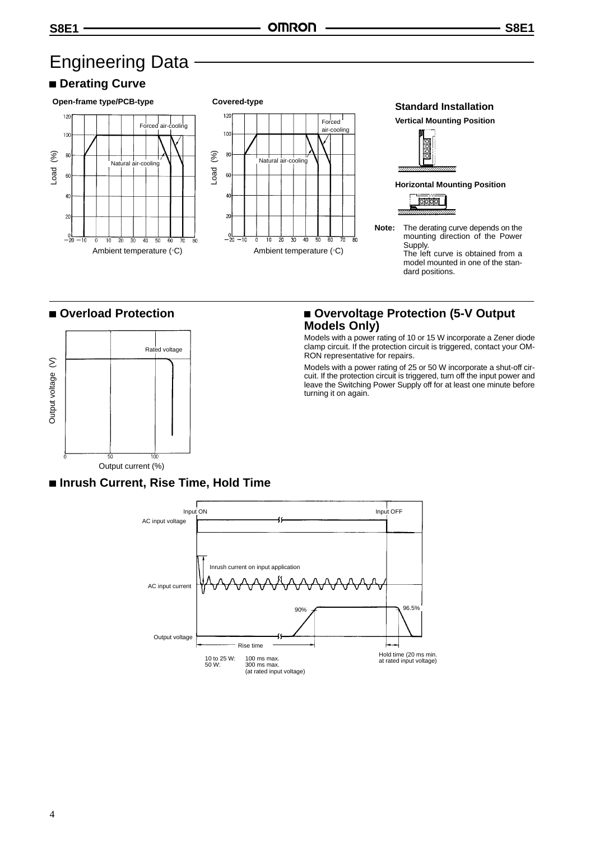# Engineering Data

# $\blacksquare$  **Derating Curve**



# **Overload Protection**



# ■ Overvoltage Protection (5-V Output **Models Only)**

Models with a power rating of 10 or 15 W incorporate a Zener diode clamp circuit. If the protection circuit is triggered, contact your OM-RON representative for repairs.

Models with a power rating of 25 or 50 W incorporate a shut-off circuit. If the protection circuit is triggered, turn off the input power and leave the Switching Power Supply off for at least one minute before turning it on again.

 **Inrush Current, Rise Time, Hold Time**

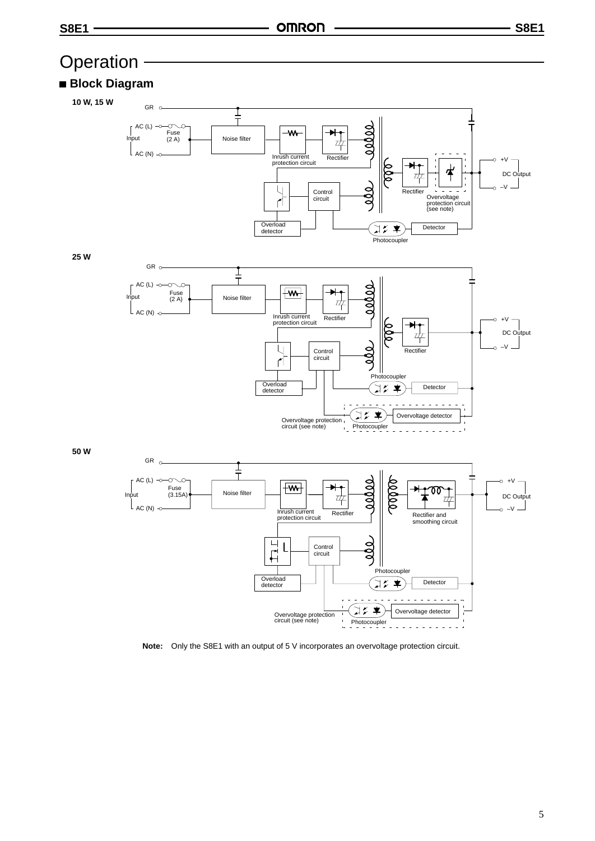

**Note:** Only the S8E1 with an output of 5 V incorporates an overvoltage protection circuit.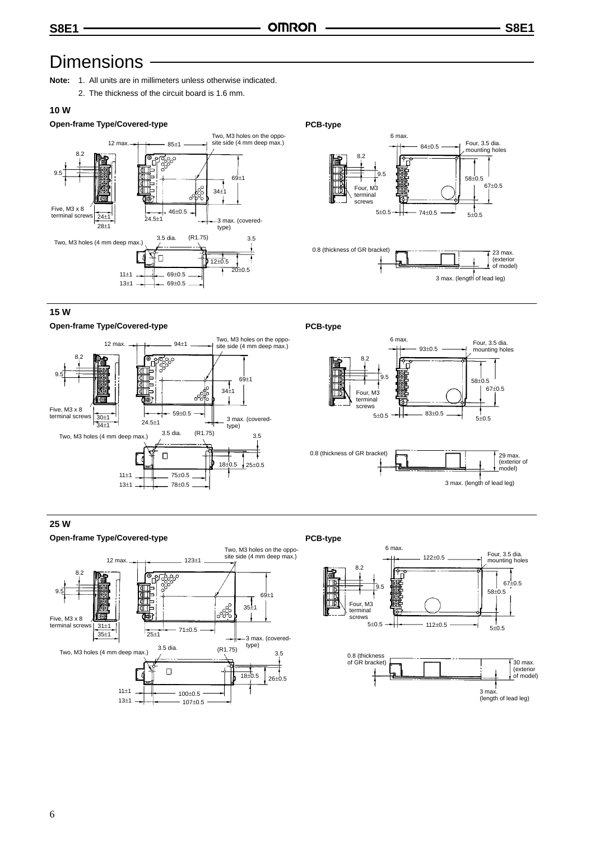# **Dimensions**

- **Note:** 1. All units are in millimeters unless otherwise indicated.
	- 2. The thickness of the circuit board is 1.6 mm.

## **10 W**

# **Open-frame Type/Covered-type PCB-type**



### 8.2 9.5 6 max. 84±0.5  $5\pm0.5$   $+$   $74\pm0.5$   $5\pm0.5$  $58\pm0.5$ <br> $67\pm0.5$ Four, M3 terminal screws Four, 3.5 dia. mounting holes 0.8 (thickness of GR bracket)  $\sqrt{23}$  max. (exterior of model) 3 max. (length of lead leg)

### **15 W**

### **Open-frame Type/Covered-type PCB-type**





### **25 W**



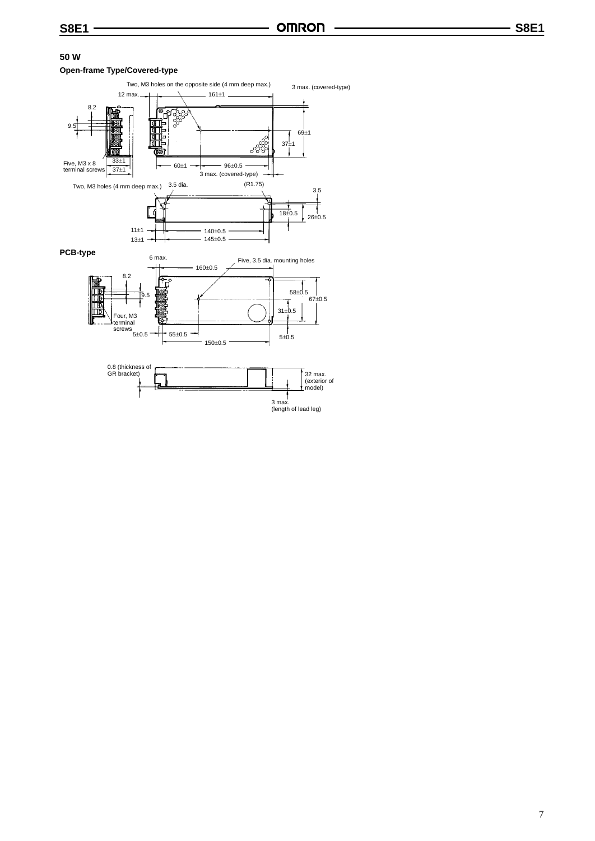## **50 W**

### **Open-frame Type/Covered-type**

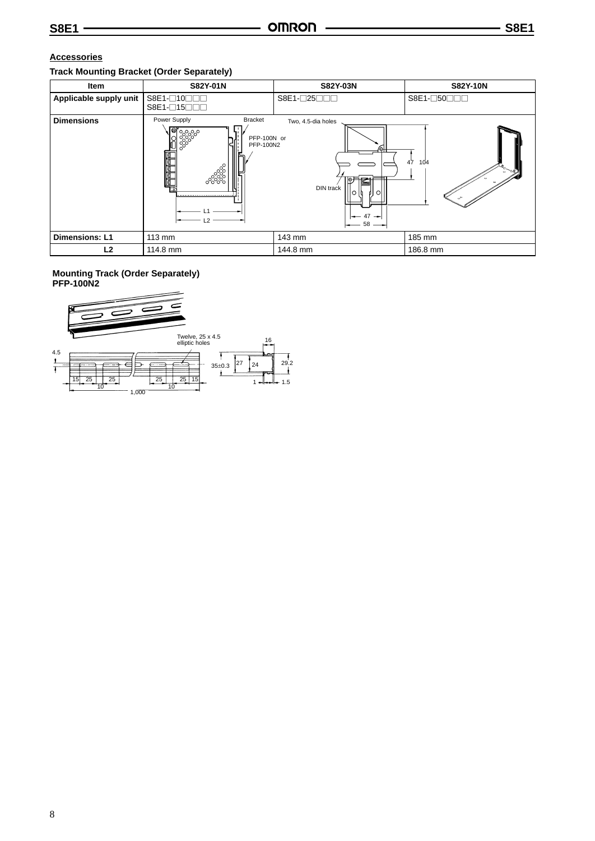# **Accessories**

# **Track Mounting Bracket (Order Separately)**

| Item                   | S82Y-01N                                                                                                                  | S82Y-03N                                                              | <b>S82Y-10N</b> |
|------------------------|---------------------------------------------------------------------------------------------------------------------------|-----------------------------------------------------------------------|-----------------|
| Applicable supply unit | S8E1-010000<br>S8E1-□15□□□                                                                                                | S8E1-□25□□□                                                           | S8E1-050000     |
| <b>Dimensions</b>      | Power Supply<br><b>Bracket</b><br>.। <sup>@न</sup> ्०००<br>PFP-100N or<br>PFP-100N2<br>ೢೲೢಁ<br>ೲೲ<br>-------------------- | Two, 4.5-dia holes<br>ιΘ⊦<br>ó<br>DIN track<br>10<br>∣∩<br>47<br>— 58 | 104<br>47       |
| <b>Dimensions: L1</b>  | 113 mm                                                                                                                    | 143 mm                                                                | 185 mm          |
| L <sub>2</sub>         | 114.8 mm                                                                                                                  | 144.8 mm                                                              | 186.8 mm        |

### **Mounting Track (Order Separately) PFP-100N2**

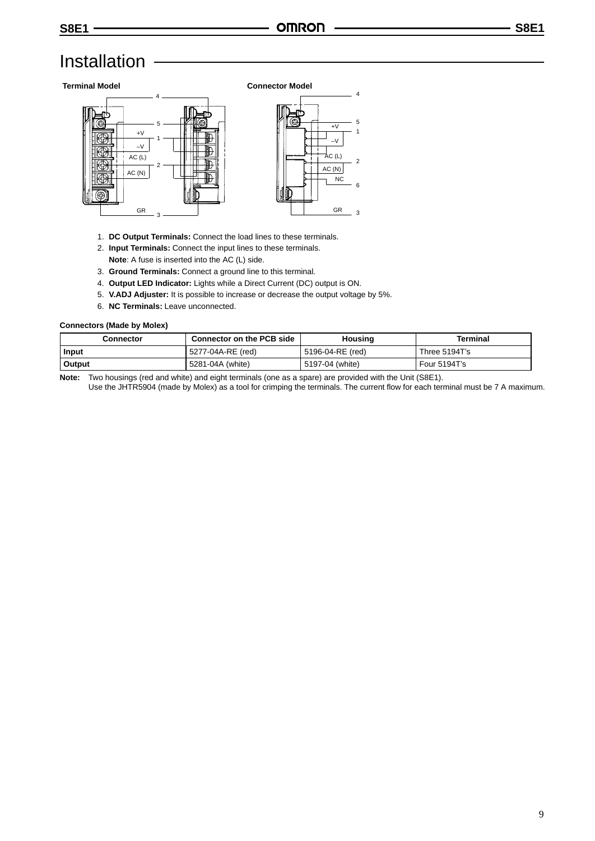# Installation

### **Terminal Model Connector Model**



- 1. **DC Output Terminals:** Connect the load lines to these terminals.
- 2. **Input Terminals:** Connect the input lines to these terminals.
- **Note**: A fuse is inserted into the AC (L) side.
- 3. **Ground Terminals:** Connect a ground line to this terminal.
- 4. **Output LED Indicator:** Lights while a Direct Current (DC) output is ON.
- 5. **V.ADJ Adjuster:** It is possible to increase or decrease the output voltage by 5%.
- 6. **NC Terminals:** Leave unconnected.

### **Connectors (Made by Molex)**

| Connector | <b>Connector on the PCB side</b> | Housing          | Terminal      |  |
|-----------|----------------------------------|------------------|---------------|--|
| Input     | 5277-04A-RE (red)                | 5196-04-RE (red) | Three 5194T's |  |
| Output    | 5281-04A (white)                 | 5197-04 (white)  | Four 5194T's  |  |

**Note:** Two housings (red and white) and eight terminals (one as a spare) are provided with the Unit (S8E1).

Use the JHTR5904 (made by Molex) as a tool for crimping the terminals. The current flow for each terminal must be 7 A maximum.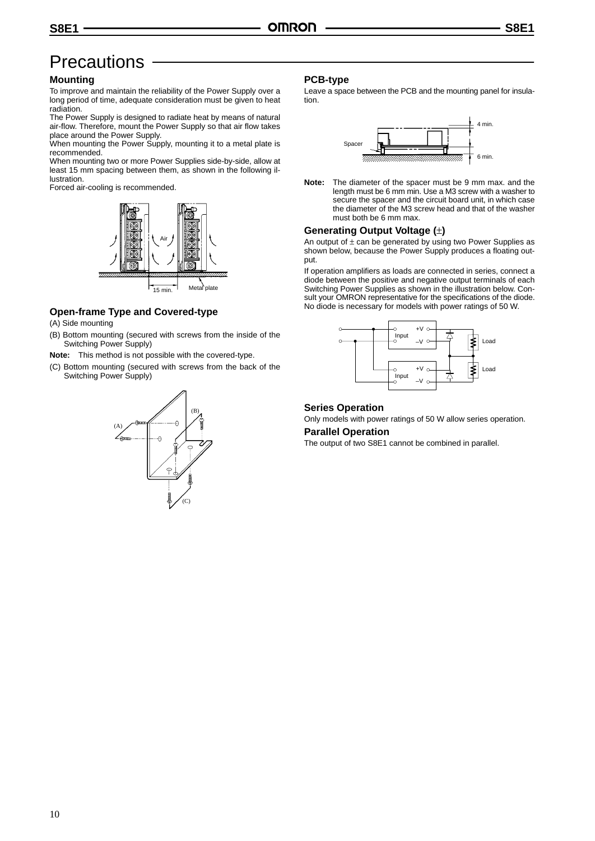# **Precautions**

## **Mounting**

To improve and maintain the reliability of the Power Supply over a long period of time, adequate consideration must be given to heat radiation.

The Power Supply is designed to radiate heat by means of natural air-flow. Therefore, mount the Power Supply so that air flow takes place around the Power Supply.

When mounting the Power Supply, mounting it to a metal plate is recommended.

When mounting two or more Power Supplies side-by-side, allow at least 15 mm spacing between them, as shown in the following illustration.

Forced air-cooling is recommended.



# **Open-frame Type and Covered-type**

- (A) Side mounting
- (B) Bottom mounting (secured with screws from the inside of the Switching Power Supply)
- **Note:** This method is not possible with the covered-type.
- (C) Bottom mounting (secured with screws from the back of the Switching Power Supply)



### **PCB-type**

Leave a space between the PCB and the mounting panel for insulation.



**Note:** The diameter of the spacer must be 9 mm max. and the length must be 6 mm min. Use a M3 screw with a washer to secure the spacer and the circuit board unit, in which case the diameter of the M3 screw head and that of the washer must both be 6 mm max.

## **Generating Output Voltage (**±**)**

An output of  $\pm$  can be generated by using two Power Supplies as shown below, because the Power Supply produces a floating output.

If operation amplifiers as loads are connected in series, connect a diode between the positive and negative output terminals of each Switching Power Supplies as shown in the illustration below. Consult your OMRON representative for the specifications of the diode. No diode is necessary for models with power ratings of 50 W.



### **Series Operation**

Only models with power ratings of 50 W allow series operation.

## **Parallel Operation**

The output of two S8E1 cannot be combined in parallel.